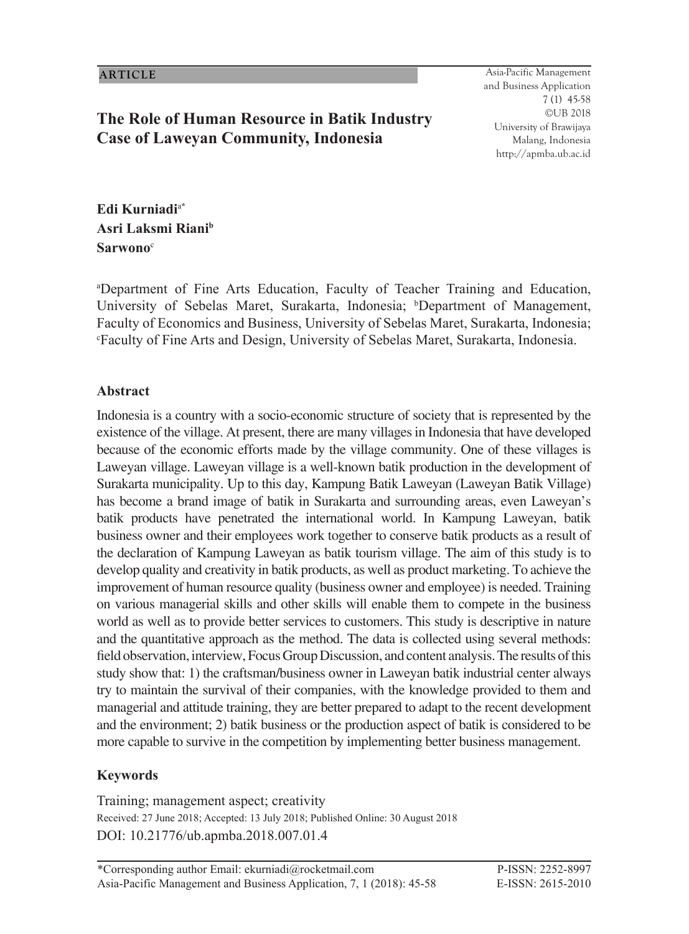## **The Role of Human Resource in Batik Industry Case of Laweyan Community, Indonesia**

45 Asia-Pacific Management and Business Application 7 (1) 45-58 ©UB 2018 University of Brawijaya Malang, Indonesia http://apmba.ub.ac.id

**Edi Kurniadi**<sup>a</sup>**\* Asri Laksmi Rianib Sarwono**<sup>c</sup>

a Department of Fine Arts Education, Faculty of Teacher Training and Education, University of Sebelas Maret, Surakarta, Indonesia; <sup>b</sup>Department of Management, Faculty of Economics and Business, University of Sebelas Maret, Surakarta, Indonesia; c Faculty of Fine Arts and Design, University of Sebelas Maret, Surakarta, Indonesia.

#### **Abstract**

Indonesia is a country with a socio-economic structure of society that is represented by the existence of the village. At present, there are many villages in Indonesia that have developed because of the economic efforts made by the village community. One of these villages is Laweyan village. Laweyan village is a well-known batik production in the development of Surakarta municipality. Up to this day, Kampung Batik Laweyan (Laweyan Batik Village) has become a brand image of batik in Surakarta and surrounding areas, even Laweyan's batik products have penetrated the international world. In Kampung Laweyan, batik business owner and their employees work together to conserve batik products as a result of the declaration of Kampung Laweyan as batik tourism village. The aim of this study is to develop quality and creativity in batik products, as well as product marketing. To achieve the improvement of human resource quality (business owner and employee) is needed. Training on various managerial skills and other skills will enable them to compete in the business world as well as to provide better services to customers. This study is descriptive in nature and the quantitative approach as the method. The data is collected using several methods: field observation, interview, Focus Group Discussion, and content analysis. The results of this study show that: 1) the craftsman/business owner in Laweyan batik industrial center always try to maintain the survival of their companies, with the knowledge provided to them and managerial and attitude training, they are better prepared to adapt to the recent development and the environment; 2) batik business or the production aspect of batik is considered to be more capable to survive in the competition by implementing better business management.

#### **Keywords**

Training; management aspect; creativity Received: 27 June 2018; Accepted: 13 July 2018; Published Online: 30 August 2018 DOI: 10.21776/ub.apmba.2018.007.01.4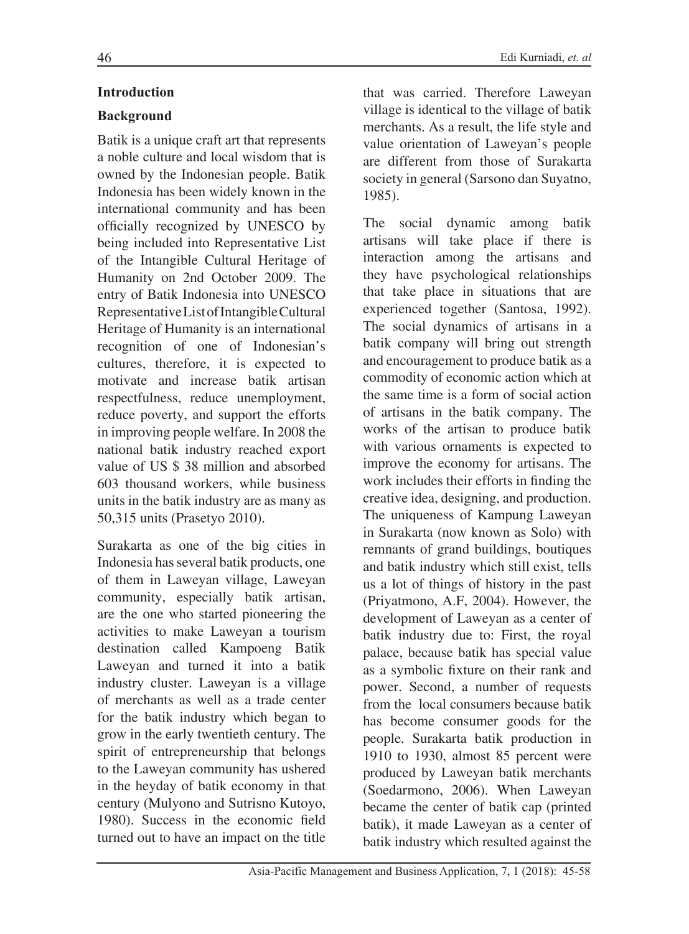#### **Introduction**

### **Background**

Batik is a unique craft art that represents a noble culture and local wisdom that is owned by the Indonesian people. Batik Indonesia has been widely known in the international community and has been officially recognized by UNESCO by being included into Representative List of the Intangible Cultural Heritage of Humanity on 2nd October 2009. The entry of Batik Indonesia into UNESCO Representative List of Intangible Cultural Heritage of Humanity is an international recognition of one of Indonesian's cultures, therefore, it is expected to motivate and increase batik artisan respectfulness, reduce unemployment, reduce poverty, and support the efforts in improving people welfare. In 2008 the national batik industry reached export value of US \$ 38 million and absorbed 603 thousand workers, while business units in the batik industry are as many as 50,315 units (Prasetyo 2010).

Surakarta as one of the big cities in Indonesia has several batik products, one of them in Laweyan village, Laweyan community, especially batik artisan, are the one who started pioneering the activities to make Laweyan a tourism destination called Kampoeng Batik Laweyan and turned it into a batik industry cluster. Laweyan is a village of merchants as well as a trade center for the batik industry which began to grow in the early twentieth century. The spirit of entrepreneurship that belongs to the Laweyan community has ushered in the heyday of batik economy in that century (Mulyono and Sutrisno Kutoyo, 1980). Success in the economic field turned out to have an impact on the title that was carried. Therefore Laweyan village is identical to the village of batik merchants. As a result, the life style and value orientation of Laweyan's people are different from those of Surakarta society in general (Sarsono dan Suyatno, 1985).

The social dynamic among batik artisans will take place if there is interaction among the artisans and they have psychological relationships that take place in situations that are experienced together (Santosa, 1992). The social dynamics of artisans in a batik company will bring out strength and encouragement to produce batik as a commodity of economic action which at the same time is a form of social action of artisans in the batik company. The works of the artisan to produce batik with various ornaments is expected to improve the economy for artisans. The work includes their efforts in finding the creative idea, designing, and production. The uniqueness of Kampung Laweyan in Surakarta (now known as Solo) with remnants of grand buildings, boutiques and batik industry which still exist, tells us a lot of things of history in the past (Priyatmono, A.F, 2004). However, the development of Laweyan as a center of batik industry due to: First, the royal palace, because batik has special value as a symbolic fixture on their rank and power. Second, a number of requests from the local consumers because batik has become consumer goods for the people. Surakarta batik production in 1910 to 1930, almost 85 percent were produced by Laweyan batik merchants (Soedarmono, 2006). When Laweyan became the center of batik cap (printed batik), it made Laweyan as a center of batik industry which resulted against the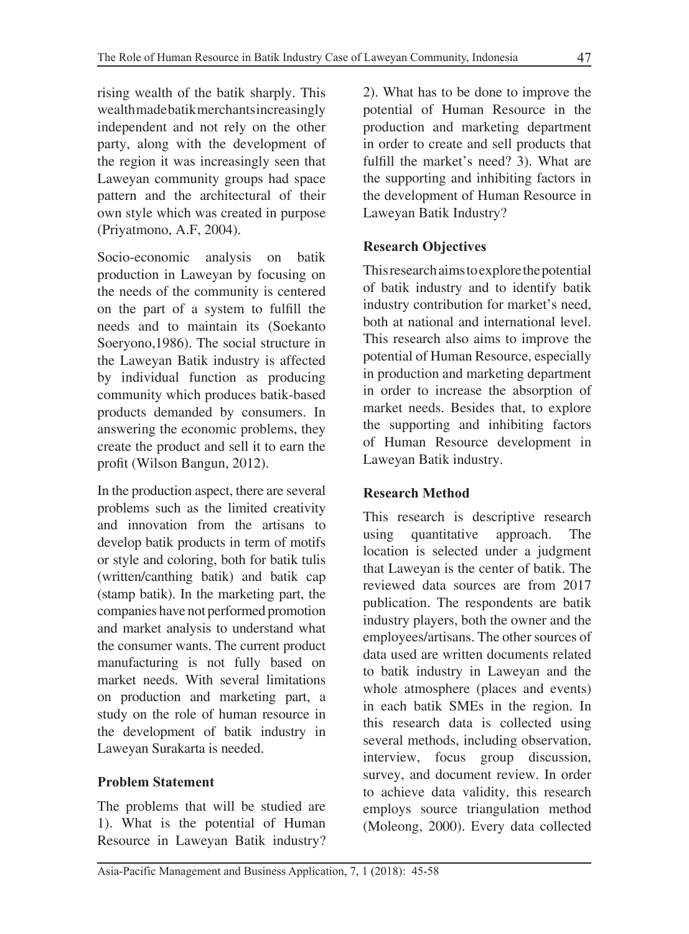rising wealth of the batik sharply. This wealth made batik merchants increasingly independent and not rely on the other party, along with the development of the region it was increasingly seen that Laweyan community groups had space pattern and the architectural of their own style which was created in purpose (Priyatmono, A.F, 2004).

Socio-economic analysis on batik production in Laweyan by focusing on the needs of the community is centered on the part of a system to fulfill the needs and to maintain its (Soekanto Soeryono,1986). The social structure in the Laweyan Batik industry is affected by individual function as producing community which produces batik-based products demanded by consumers. In answering the economic problems, they create the product and sell it to earn the profit (Wilson Bangun, 2012).

In the production aspect, there are several problems such as the limited creativity and innovation from the artisans to develop batik products in term of motifs or style and coloring, both for batik tulis (written/canthing batik) and batik cap (stamp batik). In the marketing part, the companies have not performed promotion and market analysis to understand what the consumer wants. The current product manufacturing is not fully based on market needs. With several limitations on production and marketing part, a study on the role of human resource in the development of batik industry in Laweyan Surakarta is needed.

# **Problem Statement**

The problems that will be studied are 1). What is the potential of Human Resource in Laweyan Batik industry?

2). What has to be done to improve the potential of Human Resource in the production and marketing department in order to create and sell products that fulfill the market's need? 3). What are the supporting and inhibiting factors in the development of Human Resource in Laweyan Batik Industry?

## **Research Objectives**

This research aims to explore the potential of batik industry and to identify batik industry contribution for market's need, both at national and international level. This research also aims to improve the potential of Human Resource, especially in production and marketing department in order to increase the absorption of market needs. Besides that, to explore the supporting and inhibiting factors of Human Resource development in Laweyan Batik industry.

## **Research Method**

This research is descriptive research using quantitative approach. The location is selected under a judgment that Laweyan is the center of batik. The reviewed data sources are from 2017 publication. The respondents are batik industry players, both the owner and the employees/artisans. The other sources of data used are written documents related to batik industry in Laweyan and the whole atmosphere (places and events) in each batik SMEs in the region. In this research data is collected using several methods, including observation, interview, focus group discussion, survey, and document review. In order to achieve data validity, this research employs source triangulation method (Moleong, 2000). Every data collected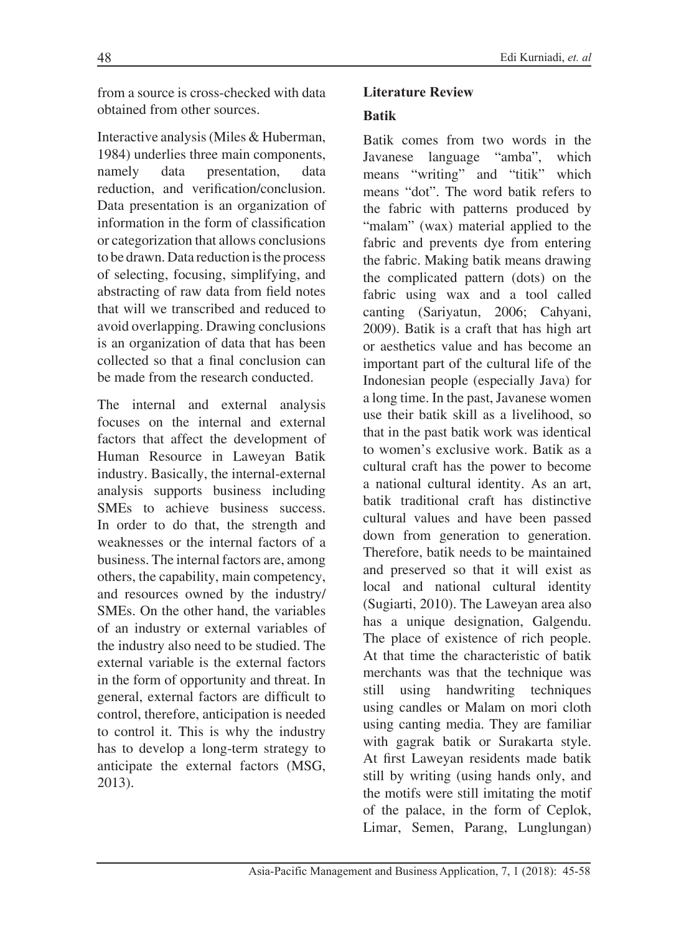from a source is cross-checked with data obtained from other sources.

Interactive analysis (Miles & Huberman, 1984) underlies three main components, namely data presentation, data reduction, and verification/conclusion. Data presentation is an organization of information in the form of classification or categorization that allows conclusions to be drawn. Data reduction is the process of selecting, focusing, simplifying, and abstracting of raw data from field notes that will we transcribed and reduced to avoid overlapping. Drawing conclusions is an organization of data that has been collected so that a final conclusion can be made from the research conducted.

The internal and external analysis focuses on the internal and external factors that affect the development of Human Resource in Laweyan Batik industry. Basically, the internal-external analysis supports business including SMEs to achieve business success. In order to do that, the strength and weaknesses or the internal factors of a business. The internal factors are, among others, the capability, main competency, and resources owned by the industry/ SMEs. On the other hand, the variables of an industry or external variables of the industry also need to be studied. The external variable is the external factors in the form of opportunity and threat. In general, external factors are difficult to control, therefore, anticipation is needed to control it. This is why the industry has to develop a long-term strategy to anticipate the external factors (MSG, 2013).

### **Literature Review**

### **Batik**

Batik comes from two words in the Javanese language "amba", which means "writing" and "titik" which means "dot". The word batik refers to the fabric with patterns produced by "malam" (wax) material applied to the fabric and prevents dye from entering the fabric. Making batik means drawing the complicated pattern (dots) on the fabric using wax and a tool called canting (Sariyatun, 2006; Cahyani, 2009). Batik is a craft that has high art or aesthetics value and has become an important part of the cultural life of the Indonesian people (especially Java) for a long time. In the past, Javanese women use their batik skill as a livelihood, so that in the past batik work was identical to women's exclusive work. Batik as a cultural craft has the power to become a national cultural identity. As an art, batik traditional craft has distinctive cultural values and have been passed down from generation to generation. Therefore, batik needs to be maintained and preserved so that it will exist as local and national cultural identity (Sugiarti, 2010). The Laweyan area also has a unique designation, Galgendu. The place of existence of rich people. At that time the characteristic of batik merchants was that the technique was still using handwriting techniques using candles or Malam on mori cloth using canting media. They are familiar with gagrak batik or Surakarta style. At first Laweyan residents made batik still by writing (using hands only, and the motifs were still imitating the motif of the palace, in the form of Ceplok, Limar, Semen, Parang, Lunglungan)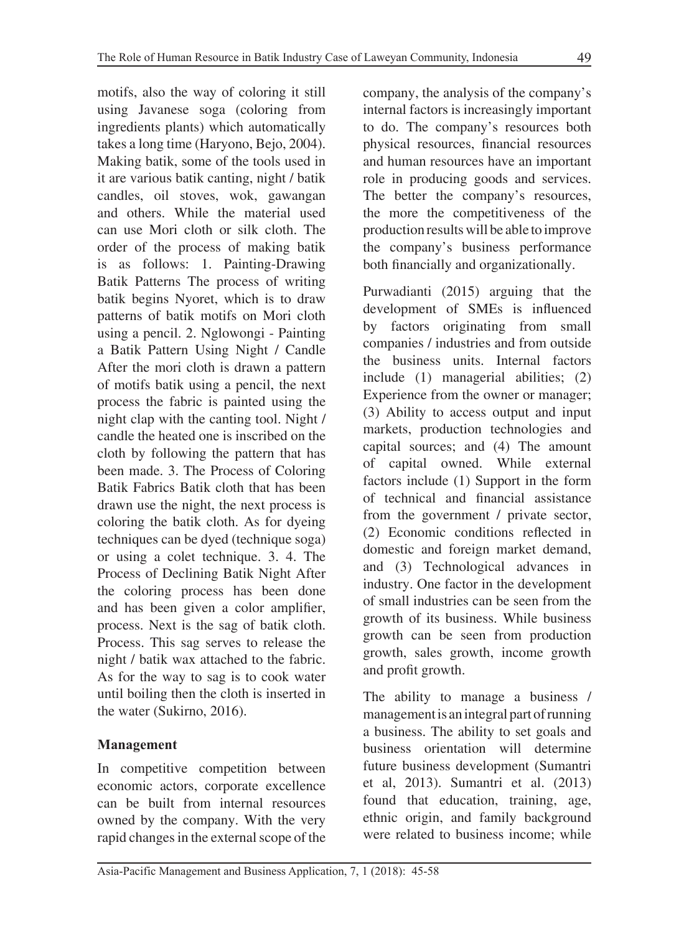motifs, also the way of coloring it still using Javanese soga (coloring from ingredients plants) which automatically takes a long time (Haryono, Bejo, 2004). Making batik, some of the tools used in it are various batik canting, night / batik candles, oil stoves, wok, gawangan and others. While the material used can use Mori cloth or silk cloth. The order of the process of making batik is as follows: 1. Painting-Drawing Batik Patterns The process of writing batik begins Nyoret, which is to draw patterns of batik motifs on Mori cloth using a pencil. 2. Nglowongi - Painting a Batik Pattern Using Night / Candle After the mori cloth is drawn a pattern of motifs batik using a pencil, the next process the fabric is painted using the night clap with the canting tool. Night / candle the heated one is inscribed on the cloth by following the pattern that has been made. 3. The Process of Coloring Batik Fabrics Batik cloth that has been drawn use the night, the next process is coloring the batik cloth. As for dyeing techniques can be dyed (technique soga) or using a colet technique. 3. 4. The Process of Declining Batik Night After the coloring process has been done and has been given a color amplifier, process. Next is the sag of batik cloth. Process. This sag serves to release the night / batik wax attached to the fabric. As for the way to sag is to cook water until boiling then the cloth is inserted in the water (Sukirno, 2016).

#### **Management**

In competitive competition between economic actors, corporate excellence can be built from internal resources owned by the company. With the very rapid changes in the external scope of the company, the analysis of the company's internal factors is increasingly important to do. The company's resources both physical resources, financial resources and human resources have an important role in producing goods and services. The better the company's resources, the more the competitiveness of the production results will be able to improve the company's business performance both financially and organizationally.

Purwadianti (2015) arguing that the development of SMEs is influenced by factors originating from small companies / industries and from outside the business units. Internal factors include (1) managerial abilities; (2) Experience from the owner or manager; (3) Ability to access output and input markets, production technologies and capital sources; and (4) The amount of capital owned. While external factors include (1) Support in the form of technical and financial assistance from the government / private sector, (2) Economic conditions reflected in domestic and foreign market demand, and (3) Technological advances in industry. One factor in the development of small industries can be seen from the growth of its business. While business growth can be seen from production growth, sales growth, income growth and profit growth.

The ability to manage a business / management is an integral part of running a business. The ability to set goals and business orientation will determine future business development (Sumantri et al, 2013). Sumantri et al. (2013) found that education, training, age, ethnic origin, and family background were related to business income; while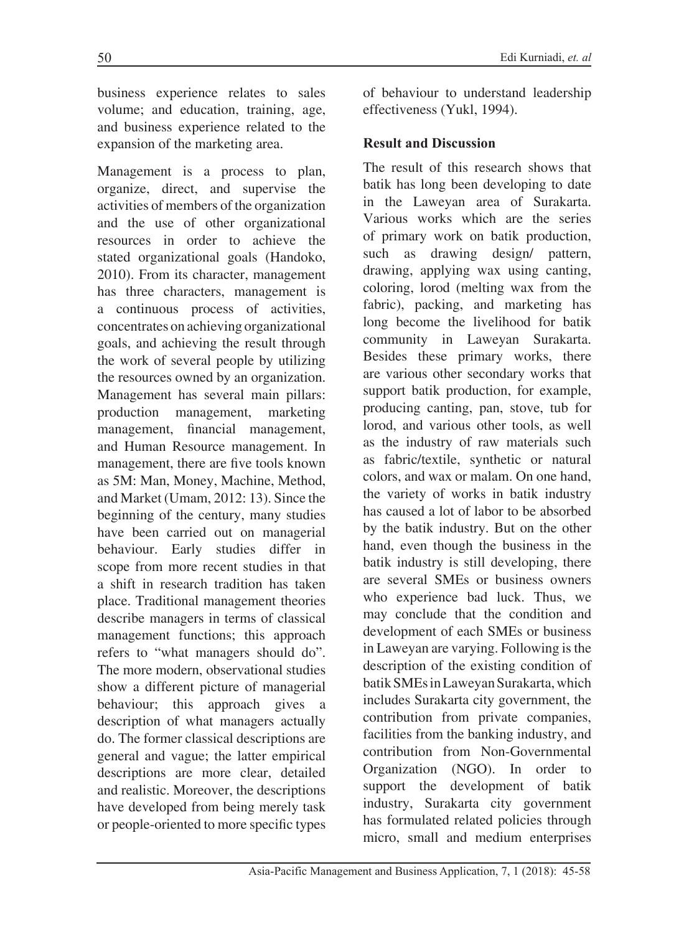business experience relates to sales volume; and education, training, age, and business experience related to the expansion of the marketing area.

Management is a process to plan, organize, direct, and supervise the activities of members of the organization and the use of other organizational resources in order to achieve the stated organizational goals (Handoko, 2010). From its character, management has three characters, management is a continuous process of activities, concentrates on achieving organizational goals, and achieving the result through the work of several people by utilizing the resources owned by an organization. Management has several main pillars: production management, marketing management, financial management, and Human Resource management. In management, there are five tools known as 5M: Man, Money, Machine, Method, and Market (Umam, 2012: 13). Since the beginning of the century, many studies have been carried out on managerial behaviour. Early studies differ in scope from more recent studies in that a shift in research tradition has taken place. Traditional management theories describe managers in terms of classical management functions; this approach refers to "what managers should do". The more modern, observational studies show a different picture of managerial behaviour; this approach gives a description of what managers actually do. The former classical descriptions are general and vague; the latter empirical descriptions are more clear, detailed and realistic. Moreover, the descriptions have developed from being merely task or people-oriented to more specific types

of behaviour to understand leadership effectiveness (Yukl, 1994).

#### **Result and Discussion**

The result of this research shows that batik has long been developing to date in the Laweyan area of Surakarta. Various works which are the series of primary work on batik production, such as drawing design/ pattern, drawing, applying wax using canting, coloring, lorod (melting wax from the fabric), packing, and marketing has long become the livelihood for batik community in Laweyan Surakarta. Besides these primary works, there are various other secondary works that support batik production, for example, producing canting, pan, stove, tub for lorod, and various other tools, as well as the industry of raw materials such as fabric/textile, synthetic or natural colors, and wax or malam. On one hand, the variety of works in batik industry has caused a lot of labor to be absorbed by the batik industry. But on the other hand, even though the business in the batik industry is still developing, there are several SMEs or business owners who experience bad luck. Thus, we may conclude that the condition and development of each SMEs or business in Laweyan are varying. Following is the description of the existing condition of batik SMEs in Laweyan Surakarta, which includes Surakarta city government, the contribution from private companies, facilities from the banking industry, and contribution from Non-Governmental Organization (NGO). In order to support the development of batik industry, Surakarta city government has formulated related policies through micro, small and medium enterprises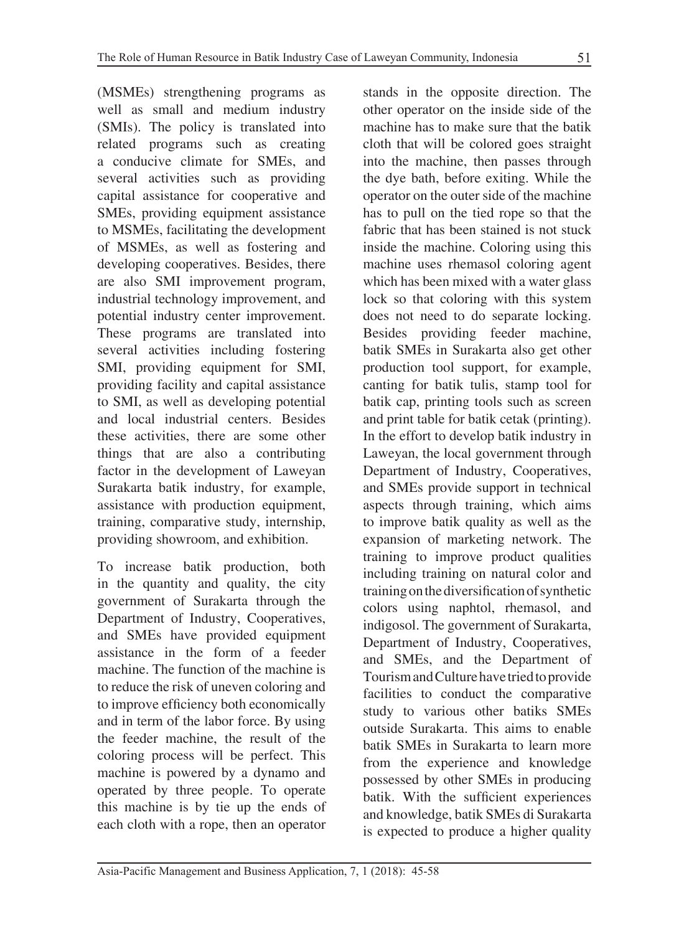(MSMEs) strengthening programs as well as small and medium industry (SMIs). The policy is translated into related programs such as creating a conducive climate for SMEs, and several activities such as providing capital assistance for cooperative and SMEs, providing equipment assistance to MSMEs, facilitating the development of MSMEs, as well as fostering and developing cooperatives. Besides, there are also SMI improvement program, industrial technology improvement, and potential industry center improvement. These programs are translated into several activities including fostering SMI, providing equipment for SMI, providing facility and capital assistance to SMI, as well as developing potential and local industrial centers. Besides these activities, there are some other things that are also a contributing factor in the development of Laweyan Surakarta batik industry, for example, assistance with production equipment, training, comparative study, internship, providing showroom, and exhibition.

To increase batik production, both in the quantity and quality, the city government of Surakarta through the Department of Industry, Cooperatives, and SMEs have provided equipment assistance in the form of a feeder machine. The function of the machine is to reduce the risk of uneven coloring and to improve efficiency both economically and in term of the labor force. By using the feeder machine, the result of the coloring process will be perfect. This machine is powered by a dynamo and operated by three people. To operate this machine is by tie up the ends of each cloth with a rope, then an operator

stands in the opposite direction. The other operator on the inside side of the machine has to make sure that the batik cloth that will be colored goes straight into the machine, then passes through the dye bath, before exiting. While the operator on the outer side of the machine has to pull on the tied rope so that the fabric that has been stained is not stuck inside the machine. Coloring using this machine uses rhemasol coloring agent which has been mixed with a water glass lock so that coloring with this system does not need to do separate locking. Besides providing feeder machine, batik SMEs in Surakarta also get other production tool support, for example, canting for batik tulis, stamp tool for batik cap, printing tools such as screen and print table for batik cetak (printing). In the effort to develop batik industry in Laweyan, the local government through Department of Industry, Cooperatives, and SMEs provide support in technical aspects through training, which aims to improve batik quality as well as the expansion of marketing network. The training to improve product qualities including training on natural color and training on the diversification of synthetic colors using naphtol, rhemasol, and indigosol. The government of Surakarta, Department of Industry, Cooperatives, and SMEs, and the Department of Tourism and Culture have tried to provide facilities to conduct the comparative study to various other batiks SMEs outside Surakarta. This aims to enable batik SMEs in Surakarta to learn more from the experience and knowledge possessed by other SMEs in producing batik. With the sufficient experiences and knowledge, batik SMEs di Surakarta is expected to produce a higher quality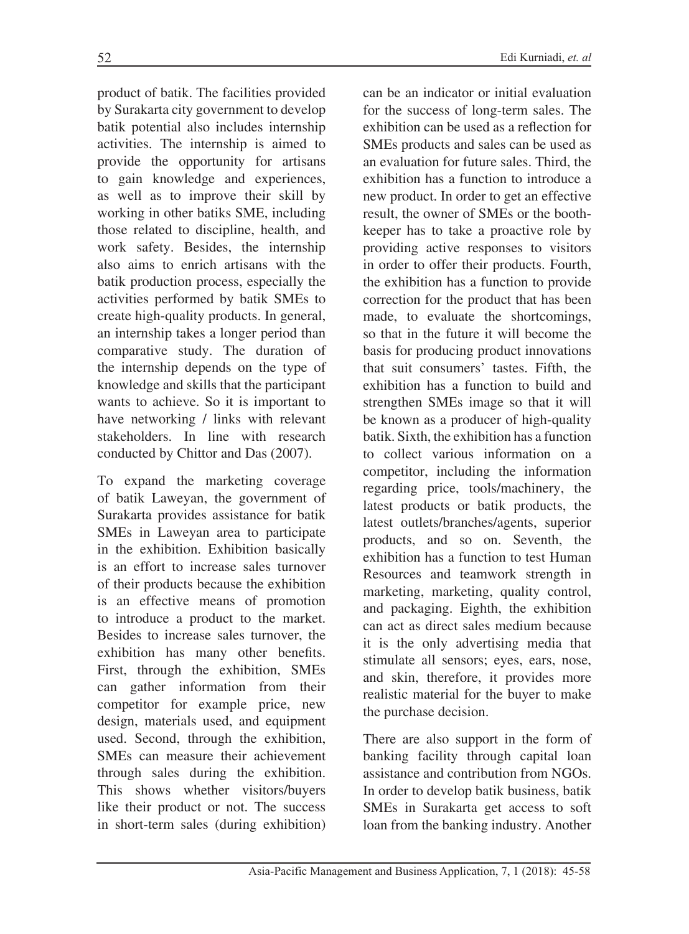product of batik. The facilities provided by Surakarta city government to develop batik potential also includes internship activities. The internship is aimed to provide the opportunity for artisans to gain knowledge and experiences, as well as to improve their skill by working in other batiks SME, including those related to discipline, health, and work safety. Besides, the internship also aims to enrich artisans with the batik production process, especially the activities performed by batik SMEs to create high-quality products. In general, an internship takes a longer period than comparative study. The duration of the internship depends on the type of knowledge and skills that the participant wants to achieve. So it is important to have networking / links with relevant stakeholders. In line with research conducted by Chittor and Das (2007).

To expand the marketing coverage of batik Laweyan, the government of Surakarta provides assistance for batik SMEs in Laweyan area to participate in the exhibition. Exhibition basically is an effort to increase sales turnover of their products because the exhibition is an effective means of promotion to introduce a product to the market. Besides to increase sales turnover, the exhibition has many other benefits. First, through the exhibition, SMEs can gather information from their competitor for example price, new design, materials used, and equipment used. Second, through the exhibition, SMEs can measure their achievement through sales during the exhibition. This shows whether visitors/buyers like their product or not. The success in short-term sales (during exhibition)

can be an indicator or initial evaluation for the success of long-term sales. The exhibition can be used as a reflection for SMEs products and sales can be used as an evaluation for future sales. Third, the exhibition has a function to introduce a new product. In order to get an effective result, the owner of SMEs or the boothkeeper has to take a proactive role by providing active responses to visitors in order to offer their products. Fourth, the exhibition has a function to provide correction for the product that has been made, to evaluate the shortcomings, so that in the future it will become the basis for producing product innovations that suit consumers' tastes. Fifth, the exhibition has a function to build and strengthen SMEs image so that it will be known as a producer of high-quality batik. Sixth, the exhibition has a function to collect various information on a competitor, including the information regarding price, tools/machinery, the latest products or batik products, the latest outlets/branches/agents, superior products, and so on. Seventh, the exhibition has a function to test Human Resources and teamwork strength in marketing, marketing, quality control, and packaging. Eighth, the exhibition can act as direct sales medium because it is the only advertising media that stimulate all sensors; eyes, ears, nose, and skin, therefore, it provides more realistic material for the buyer to make the purchase decision.

There are also support in the form of banking facility through capital loan assistance and contribution from NGOs. In order to develop batik business, batik SMEs in Surakarta get access to soft loan from the banking industry. Another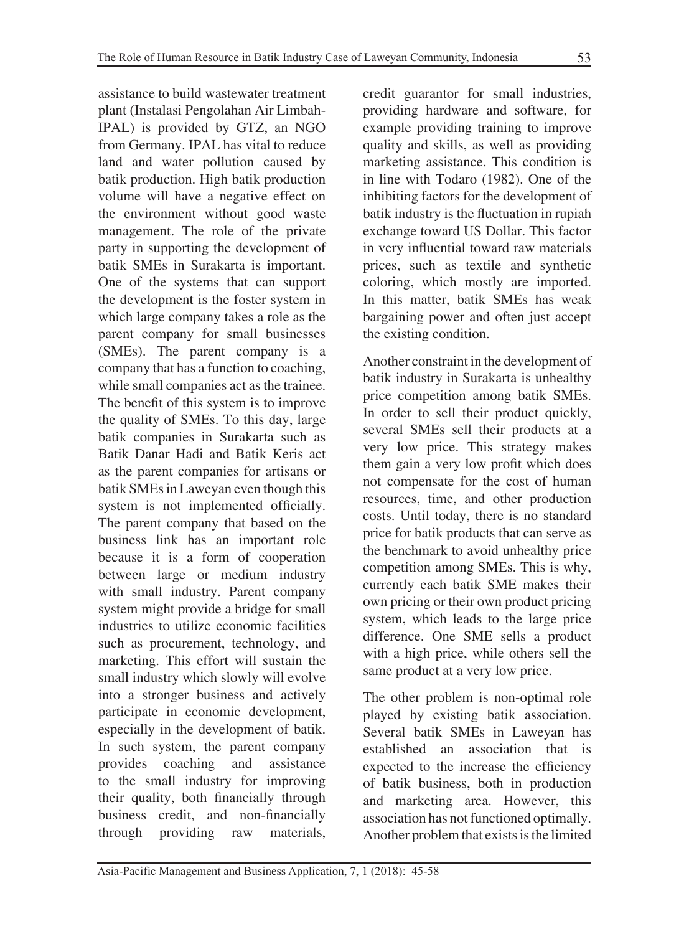assistance to build wastewater treatment plant (Instalasi Pengolahan Air Limbah-IPAL) is provided by GTZ, an NGO from Germany. IPAL has vital to reduce land and water pollution caused by batik production. High batik production volume will have a negative effect on the environment without good waste management. The role of the private party in supporting the development of batik SMEs in Surakarta is important. One of the systems that can support the development is the foster system in which large company takes a role as the parent company for small businesses (SMEs). The parent company is a company that has a function to coaching, while small companies act as the trainee. The benefit of this system is to improve the quality of SMEs. To this day, large batik companies in Surakarta such as Batik Danar Hadi and Batik Keris act as the parent companies for artisans or batik SMEs in Laweyan even though this system is not implemented officially. The parent company that based on the business link has an important role because it is a form of cooperation between large or medium industry with small industry. Parent company system might provide a bridge for small industries to utilize economic facilities such as procurement, technology, and marketing. This effort will sustain the small industry which slowly will evolve into a stronger business and actively participate in economic development, especially in the development of batik. In such system, the parent company provides coaching and assistance to the small industry for improving their quality, both financially through business credit, and non-financially through providing raw materials, credit guarantor for small industries, providing hardware and software, for example providing training to improve quality and skills, as well as providing marketing assistance. This condition is in line with Todaro (1982). One of the inhibiting factors for the development of batik industry is the fluctuation in rupiah exchange toward US Dollar. This factor in very influential toward raw materials prices, such as textile and synthetic coloring, which mostly are imported. In this matter, batik SMEs has weak bargaining power and often just accept the existing condition.

Another constraint in the development of batik industry in Surakarta is unhealthy price competition among batik SMEs. In order to sell their product quickly, several SMEs sell their products at a very low price. This strategy makes them gain a very low profit which does not compensate for the cost of human resources, time, and other production costs. Until today, there is no standard price for batik products that can serve as the benchmark to avoid unhealthy price competition among SMEs. This is why, currently each batik SME makes their own pricing or their own product pricing system, which leads to the large price difference. One SME sells a product with a high price, while others sell the same product at a very low price.

The other problem is non-optimal role played by existing batik association. Several batik SMEs in Laweyan has established an association that is expected to the increase the efficiency of batik business, both in production and marketing area. However, this association has not functioned optimally. Another problem that exists is the limited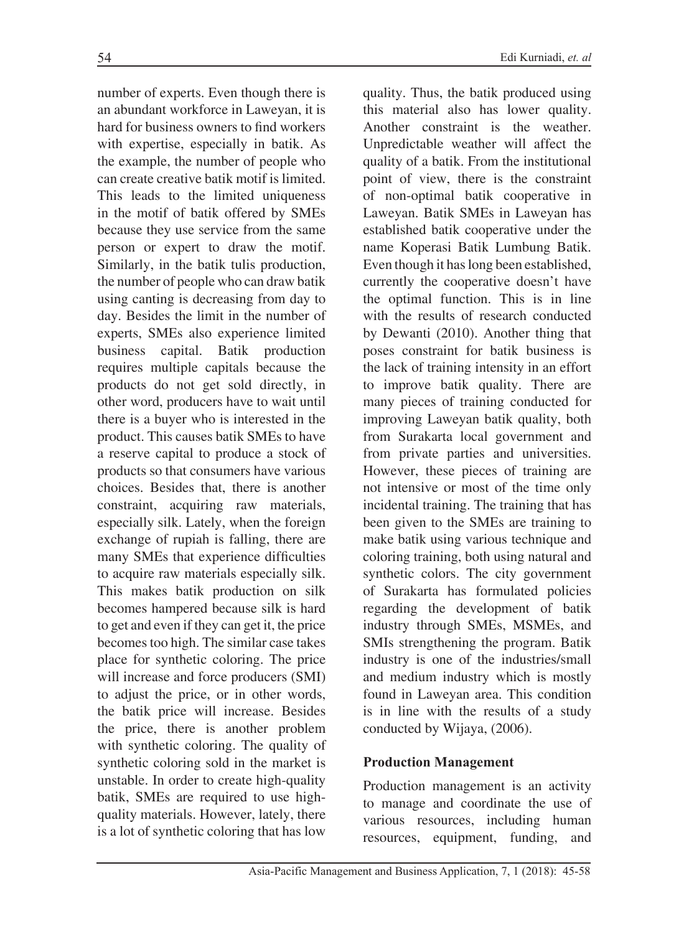number of experts. Even though there is an abundant workforce in Laweyan, it is hard for business owners to find workers with expertise, especially in batik. As the example, the number of people who can create creative batik motif is limited. This leads to the limited uniqueness in the motif of batik offered by SMEs because they use service from the same person or expert to draw the motif. Similarly, in the batik tulis production, the number of people who can draw batik using canting is decreasing from day to day. Besides the limit in the number of experts, SMEs also experience limited business capital. Batik production requires multiple capitals because the products do not get sold directly, in other word, producers have to wait until there is a buyer who is interested in the product. This causes batik SMEs to have a reserve capital to produce a stock of products so that consumers have various choices. Besides that, there is another constraint, acquiring raw materials, especially silk. Lately, when the foreign exchange of rupiah is falling, there are many SMEs that experience difficulties to acquire raw materials especially silk. This makes batik production on silk becomes hampered because silk is hard to get and even if they can get it, the price becomes too high. The similar case takes place for synthetic coloring. The price will increase and force producers (SMI) to adjust the price, or in other words, the batik price will increase. Besides the price, there is another problem with synthetic coloring. The quality of synthetic coloring sold in the market is unstable. In order to create high-quality batik, SMEs are required to use highquality materials. However, lately, there is a lot of synthetic coloring that has low

quality. Thus, the batik produced using this material also has lower quality. Another constraint is the weather. Unpredictable weather will affect the quality of a batik. From the institutional point of view, there is the constraint of non-optimal batik cooperative in Laweyan. Batik SMEs in Laweyan has established batik cooperative under the name Koperasi Batik Lumbung Batik. Even though it has long been established, currently the cooperative doesn't have the optimal function. This is in line with the results of research conducted by Dewanti (2010). Another thing that poses constraint for batik business is the lack of training intensity in an effort to improve batik quality. There are many pieces of training conducted for improving Laweyan batik quality, both from Surakarta local government and from private parties and universities. However, these pieces of training are not intensive or most of the time only incidental training. The training that has been given to the SMEs are training to make batik using various technique and coloring training, both using natural and synthetic colors. The city government of Surakarta has formulated policies regarding the development of batik industry through SMEs, MSMEs, and SMIs strengthening the program. Batik industry is one of the industries/small and medium industry which is mostly found in Laweyan area. This condition is in line with the results of a study conducted by Wijaya, (2006).

#### **Production Management**

Production management is an activity to manage and coordinate the use of various resources, including human resources, equipment, funding, and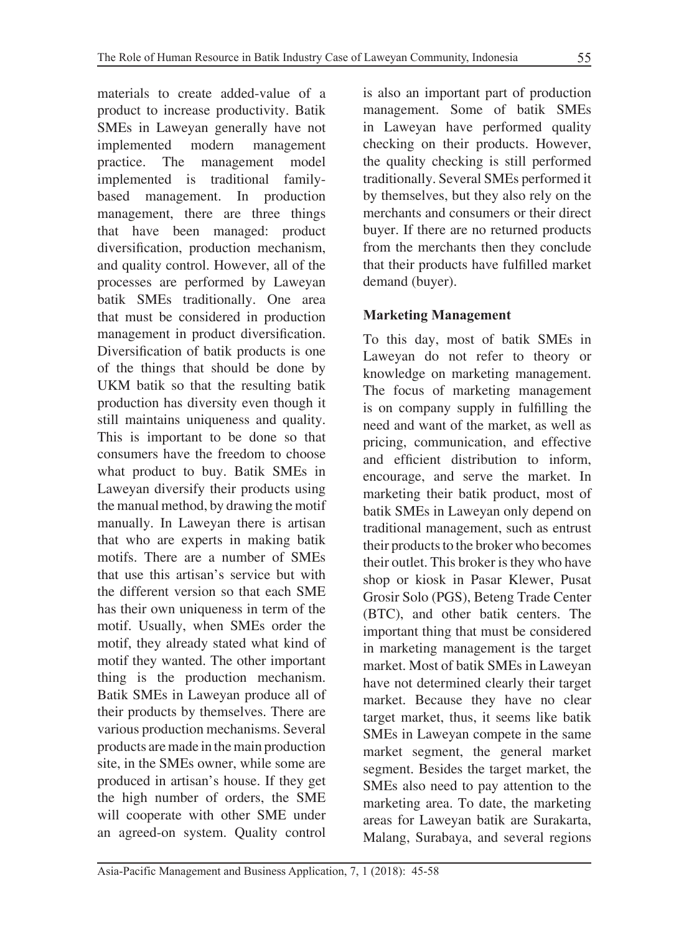materials to create added-value of a product to increase productivity. Batik SMEs in Laweyan generally have not implemented modern management practice. The management model implemented is traditional familybased management. In production management, there are three things that have been managed: product diversification, production mechanism, and quality control. However, all of the processes are performed by Laweyan batik SMEs traditionally. One area that must be considered in production management in product diversification. Diversification of batik products is one of the things that should be done by UKM batik so that the resulting batik production has diversity even though it still maintains uniqueness and quality. This is important to be done so that consumers have the freedom to choose what product to buy. Batik SMEs in Laweyan diversify their products using the manual method, by drawing the motif manually. In Laweyan there is artisan that who are experts in making batik motifs. There are a number of SMEs that use this artisan's service but with the different version so that each SME has their own uniqueness in term of the motif. Usually, when SMEs order the motif, they already stated what kind of motif they wanted. The other important thing is the production mechanism. Batik SMEs in Laweyan produce all of their products by themselves. There are various production mechanisms. Several products are made in the main production site, in the SMEs owner, while some are produced in artisan's house. If they get the high number of orders, the SME will cooperate with other SME under an agreed-on system. Quality control is also an important part of production management. Some of batik SMEs in Laweyan have performed quality checking on their products. However, the quality checking is still performed traditionally. Several SMEs performed it by themselves, but they also rely on the merchants and consumers or their direct buyer. If there are no returned products from the merchants then they conclude that their products have fulfilled market demand (buyer).

### **Marketing Management**

To this day, most of batik SMEs in Laweyan do not refer to theory or knowledge on marketing management. The focus of marketing management is on company supply in fulfilling the need and want of the market, as well as pricing, communication, and effective and efficient distribution to inform, encourage, and serve the market. In marketing their batik product, most of batik SMEs in Laweyan only depend on traditional management, such as entrust their products to the broker who becomes their outlet. This broker is they who have shop or kiosk in Pasar Klewer, Pusat Grosir Solo (PGS), Beteng Trade Center (BTC), and other batik centers. The important thing that must be considered in marketing management is the target market. Most of batik SMEs in Laweyan have not determined clearly their target market. Because they have no clear target market, thus, it seems like batik SMEs in Laweyan compete in the same market segment, the general market segment. Besides the target market, the SMEs also need to pay attention to the marketing area. To date, the marketing areas for Laweyan batik are Surakarta, Malang, Surabaya, and several regions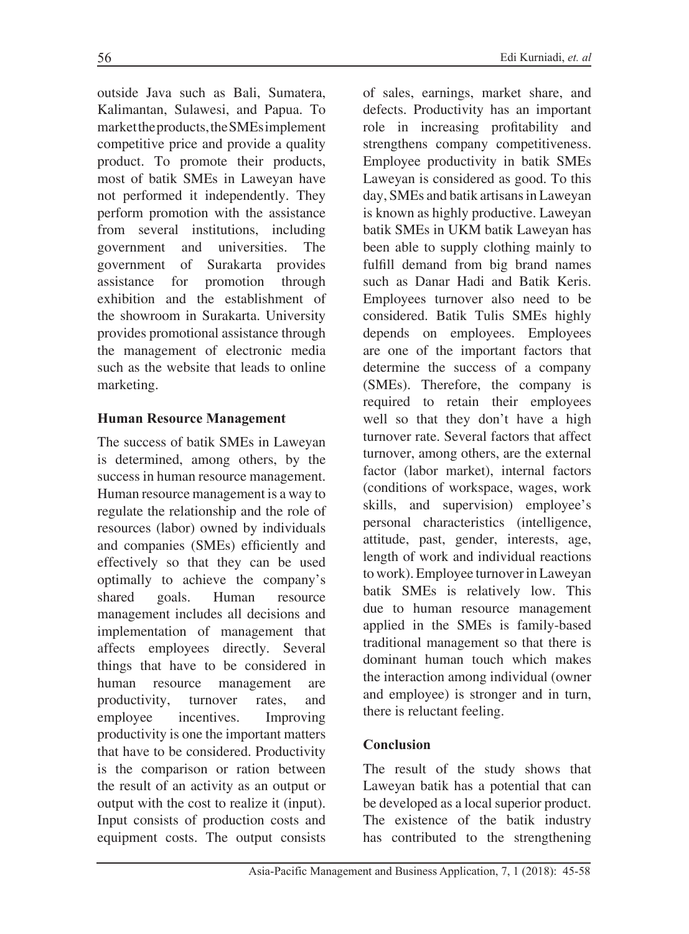outside Java such as Bali, Sumatera, Kalimantan, Sulawesi, and Papua. To market the products, the SMEs implement competitive price and provide a quality product. To promote their products, most of batik SMEs in Laweyan have not performed it independently. They perform promotion with the assistance from several institutions, including government and universities. The government of Surakarta provides assistance for promotion through exhibition and the establishment of the showroom in Surakarta. University provides promotional assistance through the management of electronic media such as the website that leads to online marketing.

#### **Human Resource Management**

The success of batik SMEs in Laweyan is determined, among others, by the success in human resource management. Human resource management is a way to regulate the relationship and the role of resources (labor) owned by individuals and companies (SMEs) efficiently and effectively so that they can be used optimally to achieve the company's shared goals. Human resource management includes all decisions and implementation of management that affects employees directly. Several things that have to be considered in human resource management are productivity, turnover rates, and employee incentives. Improving productivity is one the important matters that have to be considered. Productivity is the comparison or ration between the result of an activity as an output or output with the cost to realize it (input). Input consists of production costs and equipment costs. The output consists

of sales, earnings, market share, and defects. Productivity has an important role in increasing profitability and strengthens company competitiveness. Employee productivity in batik SMEs Laweyan is considered as good. To this day, SMEs and batik artisans in Laweyan is known as highly productive. Laweyan batik SMEs in UKM batik Laweyan has been able to supply clothing mainly to fulfill demand from big brand names such as Danar Hadi and Batik Keris. Employees turnover also need to be considered. Batik Tulis SMEs highly depends on employees. Employees are one of the important factors that determine the success of a company (SMEs). Therefore, the company is required to retain their employees well so that they don't have a high turnover rate. Several factors that affect turnover, among others, are the external factor (labor market), internal factors (conditions of workspace, wages, work skills, and supervision) employee's personal characteristics (intelligence, attitude, past, gender, interests, age, length of work and individual reactions to work). Employee turnover in Laweyan batik SMEs is relatively low. This due to human resource management applied in the SMEs is family-based traditional management so that there is dominant human touch which makes the interaction among individual (owner and employee) is stronger and in turn, there is reluctant feeling.

#### **Conclusion**

The result of the study shows that Laweyan batik has a potential that can be developed as a local superior product. The existence of the batik industry has contributed to the strengthening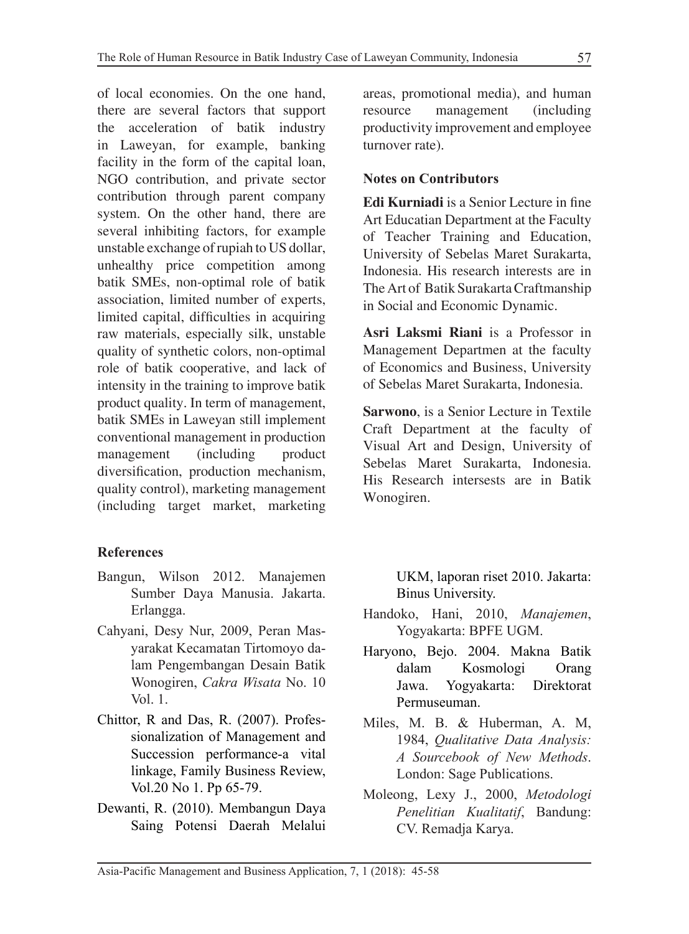of local economies. On the one hand, there are several factors that support the acceleration of batik industry in Laweyan, for example, banking facility in the form of the capital loan, NGO contribution, and private sector contribution through parent company system. On the other hand, there are several inhibiting factors, for example unstable exchange of rupiah to US dollar, unhealthy price competition among batik SMEs, non-optimal role of batik association, limited number of experts, limited capital, difficulties in acquiring raw materials, especially silk, unstable quality of synthetic colors, non-optimal role of batik cooperative, and lack of intensity in the training to improve batik product quality. In term of management, batik SMEs in Laweyan still implement conventional management in production management (including product) diversification, production mechanism, quality control), marketing management (including target market, marketing

## **References**

- Bangun, Wilson 2012. Manajemen Sumber Daya Manusia. Jakarta. Erlangga.
- Cahyani, Desy Nur, 2009, Peran Masyarakat Kecamatan Tirtomoyo dalam Pengembangan Desain Batik Wonogiren, *Cakra Wisata* No. 10 Vol. 1.
- Chittor, R and Das, R. (2007). Professionalization of Management and Succession performance-a vital linkage, Family Business Review, Vol.20 No 1. Pp 65-79.
- Dewanti, R. (2010). Membangun Daya Saing Potensi Daerah Melalui

areas, promotional media), and human resource management (including productivity improvement and employee turnover rate).

#### **Notes on Contributors**

**Edi Kurniadi** is a Senior Lecture in fine Art Educatian Department at the Faculty of Teacher Training and Education, University of Sebelas Maret Surakarta, Indonesia. His research interests are in The Art of Batik Surakarta Craftmanship in Social and Economic Dynamic.

**Asri Laksmi Riani** is a Professor in Management Departmen at the faculty of Economics and Business, University of Sebelas Maret Surakarta, Indonesia.

**Sarwono**, is a Senior Lecture in Textile Craft Department at the faculty of Visual Art and Design, University of Sebelas Maret Surakarta, Indonesia. His Research intersests are in Batik Wonogiren.

> UKM, laporan riset 2010. Jakarta: Binus University.

- Handoko, Hani, 2010, *Manajemen*, Yogyakarta: BPFE UGM.
- Haryono, Bejo. 2004. Makna Batik dalam Kosmologi Orang Jawa. Yogyakarta: Direktorat Permuseuman.
- Miles, M. B. & Huberman, A. M, 1984, *Qualitative Data Analysis: A Sourcebook of New Methods*. London: Sage Publications.
- Moleong, Lexy J., 2000, *Metodologi Penelitian Kualitatif*, Bandung: CV. Remadja Karya.